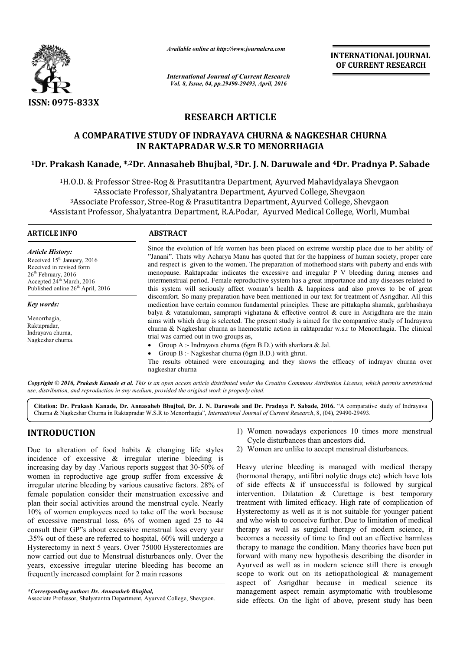

*Available online at http://www.journalcra.com*

*International Journal of Current Research Vol. 8, Issue, 04, pp.29490-29493, April, 2016*

**INTERNATIONAL JOURNAL OF CURRENT RESEARCH** 

# **RESEARCH ARTICLE**

# **A COMPARATIVE STUDY OF INDRAYAVA CHURNA & NAGKESHAR CHURNA IN RAKTAPRADAR W.S.R TO MENORRHAGIA 1Dr. Prakash Kanade, \*,2Dr. Annasaheb Bhujbal Bhujbal, 3Dr. J. N. Daruwale and & 4Dr. Pradnya P. Sabade**

<sup>1</sup>H.O.D. & Professor Stree-Rog & Prasutitantra Department, Ayurved Mahavidyalaya Shevgaon 2Associate Professor Professor, Shalyatantra Department, Ayurved College, Shevgaon 0.D. & Professor Stree-Rog & Prasutitantra Department, Ayurved Mahavidyalaya Shevga.<br><sup>2</sup>Associate Professor, Shalyatantra Department, Ayurved College, Shevgaon<br><sup>3</sup>Associate Professor, Stree-Rog & Prasutitantra Department, 4 Assistant Professor, Shalyatantra Department, R.A.Podar, Ayurved Medical College, Worli, Mumbai

 $\overline{a}$ 

## **ARTICLE INFO ABSTRACT**

*Article History:* Received  $15<sup>th</sup>$  January, 2016 Received in revised form 26<sup>th</sup> February, 2016 Accepted 24<sup>th</sup> March, 2016 Published online 26<sup>th</sup> April, 2016

*Key words:*

Menorrhagia, Raktapradar, Indrayava churna, Nagkeshar churna.

Since the evolution of life women has been placed on extreme worship place due to her ability of "Janani". Thats why Acharya Manu has quoted that for the happiness of human society, proper care and respect is given to the women. The preparation of motherhood starts with puberty and ends with menopause. Raktapradar indicates the excessive and irregular P V bleeding during menses and intermenstrual period. Female reproductive system has a great importance and any diseases related to this system will seriously affect woman's health  $\&$  happiness and also proves to be of great discomfort. So many preparation have been mentioned in our text for treatment of Asrigdhar. All this medication have certain common fundamental principles. These are pittakapha shamak, garbhashaya balya & vatanuloman, samprapti vighatana & effective control & cure in Asrigdhara are the main aims with which drug is selected. The present study is aimed for the comparative study of Indrayava churna & Nagkeshar churna as haemostatic action in raktapradar w.s.r to Menorrhagia. The clinical trial was carried out in two groups as, Since the evolution of life women has been placed on extreme worship place due to her ability of "Janani". Thats why Acharya Manu has quoted that for the happiness of human society, proper care and respect is given to the menopause. Raktapradar indicates the excessive and irregular P V bleeding during menses and<br>intermenstrual period. Female reproductive system has a great importance and any diseases related to<br>this system will seriously a

- Group A :- Indrayava churna (6gm B.D.) with sharkara  $\&$  Jal.
- Group B :- Nagkeshar churna (6gm B.D.) with ghrut.

The results obtained were encouraging and they shows the efficacy of indrayav churna over nagkeshar churna

Copyright © 2016, Prakash Kanade et al. This is an open access article distributed under the Creative Commons Attribution License, which permits unrestrictea *use, distribution, and reproduction in any medium, provided the original work is properly cited.*

Citation: Dr. Prakash Kanade, Dr. Annasaheb Bhujbal, Dr. J. N. Daruwale and Dr. Pradnya P. Sabade, 2016. "A comparative study of Indrayava Churna & Nagkeshar Churna in Raktapradar W.S.R to Menorrhagia", *International Journal of Current Research*, 8, (04), 29490-29493.

## **INTRODUCTION**

Due to alteration of food habits  $\&$  changing life styles incidence of excessive & irregular uterine bleeding is increasing day by day .Various reports suggest that 30 30-50% of women in reproductive age group suffer from excessive & irregular uterine bleeding by various causative factors. 28% of female population consider their menstruation excessive and plan their social activities around the menstrual cycle. Nearly 10% of women employees need to take off the work because of excessive menstrual loss. 6% of women aged 25 to 44 consult their GP"s about excessive menstrual loss every year .35% out of these are referred to hospital, 60% will undergo a Hysterectomy in next 5 years. Over 75000 Hysterectomies are now carried out due to Menstrual disturbances only. Over the years, excessive irregular uterine bleeding has become an frequently increased complaint for 2 main reasons FION 1) Women nowadays experiences 10 times more<br>cycle disturbances than ancestors did.<br>excessive & irregular uterine bleeding is<br>by day Various reports suggest that 30-50% of Heavy uterine bleeding is managed with medic<br>c

- Cycle disturbances than ancestors did. 1) Women nowadays experiences 10 times more menstrual
- 2) Women are unlike to accept menstrual disturbances.

Heavy uterine bleeding is managed with medical therapy (hormonal therapy, antifibri nolytic drugs etc) which have lots of side effects & if unsuccessful is followed by surgical intervention. Dilatation  $\&$  Curettage is best temporary treatment with limited efficacy. High rate of complication of Hysterectomy as well as it is not suitable for younger patient Hysterectomy as well as it is not suitable for younger patient and who wish to conceive further. Due to limitation of medical therapy as well as surgical therapy of modern science, it becomes a necessity of time to find out an effective harmless therapy as well as surgical therapy of modern science, it becomes a necessity of time to find out an effective harmless therapy to manage the condition. Many theories have been put forward with many new hypothesis describing the disorder in Ayurved as well as in modern science still there is enough scope to work out on its aetiopathological & management aspect of Asrigdhar because in medical science its management aspect remain asymptomatic with troublesome side effects. On the light of above, present study has been Cycle disturbances than ancestors did.<br>
2) Women are unlike to accept menstrual<br>
Heavy uterine bleeding is managed with<br>
(hormonal therapy, antifibri nolytic drugs forward with many new hypothesis describing the disorder in Ayurved as well as in modern science still there is enough scope to work out on its aetiopathological  $\&$  management aspect of Asrigdhar because in medical scie

*<sup>\*</sup>Corresponding author: Dr. Annasaheb Bhujbal,*

Associate Professor, Shalyatantra Department, Ayurved College, Shevgaon.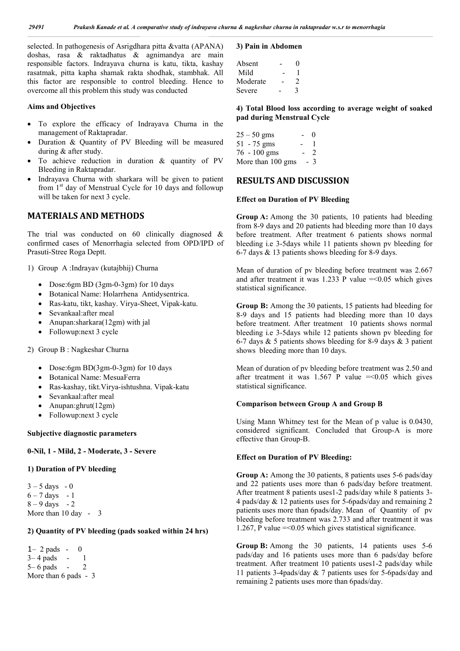selected. In pathogenesis of Asrigdhara pitta &vatta (APANA) doshas, rasa & raktadhatus & agnimandya are main responsible factors. Indrayava churna is katu, tikta, kashay rasatmak, pitta kapha shamak rakta shodhak, stambhak. All this factor are responsible to control bleeding. Hence to overcome all this problem this study was conducted

## **Aims and Objectives**

- To explore the efficacy of Indrayava Churna in the management of Raktapradar.
- Duration & Quantity of PV Bleeding will be measured during & after study.
- To achieve reduction in duration & quantity of PV Bleeding in Raktapradar.
- Indrayava Churna with sharkara will be given to patient from 1<sup>st</sup> day of Menstrual Cycle for 10 days and followup will be taken for next 3 cycle.

## **MATERIALS AND METHODS**

The trial was conducted on  $60$  clinically diagnosed  $\&$ confirmed cases of Menorrhagia selected from OPD/IPD of Prasuti-Stree Roga Deptt.

1) Group A :Indrayav (kutajbhij) Churna

- Dose:6gm BD (3gm-0-3gm) for 10 days
- Botanical Name: Holarrhena Antidysentrica.
- Ras-katu, tikt, kashay. Virya-Sheet, Vipak-katu.
- Sevankaal:after meal
- Anupan:sharkara(12gm) with jal
- Followup:next 3 cycle

2) Group B : Nagkeshar Churna

- Dose:6gm BD(3gm-0-3gm) for 10 days
- Botanical Name: MesuaFerra
- Ras-kashay, tikt.Virya-ishtushna. Vipak-katu
- Sevankaal:after meal
- Anupan: ghrut(12gm)
- Followup:next 3 cycle

#### **Subjective diagnostic parameters**

**0-Nil, 1 - Mild, 2 - Moderate, 3 - Severe**

## **1) Duration of PV bleeding**

 $3 - 5$  days  $-0$  $6 - 7$  days  $-1$  $8 - 9$  days  $-2$ More than 10 day - 3

### **2) Quantity of PV bleeding (pads soaked within 24 hrs)**

 $1-2$  pads  $-0$ 3– 4 pads - 1 5– 6 pads - 2 More than 6 pads - 3

### **3) Pain in Abdomen**

| Absent   | $\mathbf{\Omega}$ |
|----------|-------------------|
| Mild     |                   |
| Moderate | 2                 |
| Severe   | 3                 |

**4) Total Blood loss according to average weight of soaked pad during Menstrual Cycle** 

| $25 - 50$ gms     | $\sim$ | $\theta$ |
|-------------------|--------|----------|
| 51 - 75 gms       |        |          |
| 76 - 100 gms      | $\sim$ | 2        |
| More than 100 gms |        | - 3      |

## **RESULTS AND DISCUSSION**

#### **Effect on Duration of PV Bleeding**

**Group A:** Among the 30 patients, 10 patients had bleeding from 8-9 days and 20 patients had bleeding more than 10 days before treatment. After treatment 6 patients shows normal bleeding i.e 3-5days while 11 patients shown pv bleeding for 6-7 days & 13 patients shows bleeding for 8-9 days.

Mean of duration of pv bleeding before treatment was 2.667 and after treatment it was 1.233 P value  $=<0.05$  which gives statistical significance.

**Group B:** Among the 30 patients, 15 patients had bleeding for 8-9 days and 15 patients had bleeding more than 10 days before treatment. After treatment 10 patients shows normal bleeding i.e 3-5days while 12 patients shown pv bleeding for 6-7 days  $\&$  5 patients shows bleeding for 8-9 days  $\&$  3 patient shows bleeding more than 10 days.

Mean of duration of pv bleeding before treatment was 2.50 and after treatment it was  $1.567$  P value  $=<0.05$  which gives statistical significance.

#### **Comparison between Group A and Group B**

Using Mann Whitney test for the Mean of p value is 0.0430, considered significant. Concluded that Group-A is more effective than Group-B.

#### **Effect on Duration of PV Bleeding:**

**Group A:** Among the 30 patients, 8 patients uses 5-6 pads/day and 22 patients uses more than 6 pads/day before treatment. After treatment 8 patients uses1-2 pads/day while 8 patients 3- 4 pads/day & 12 patients uses for 5-6pads/day and remaining 2 patients uses more than 6pads/day. Mean of Quantity of pv bleeding before treatment was 2.733 and after treatment it was 1.267, P value  $=$  <0.05 which gives statistical significance.

**Group B:** Among the 30 patients, 14 patients uses 5-6 pads/day and 16 patients uses more than 6 pads/day before treatment. After treatment 10 patients uses1-2 pads/day while 11 patients 3-4pads/day & 7 patients uses for 5-6pads/day and remaining 2 patients uses more than 6pads/day.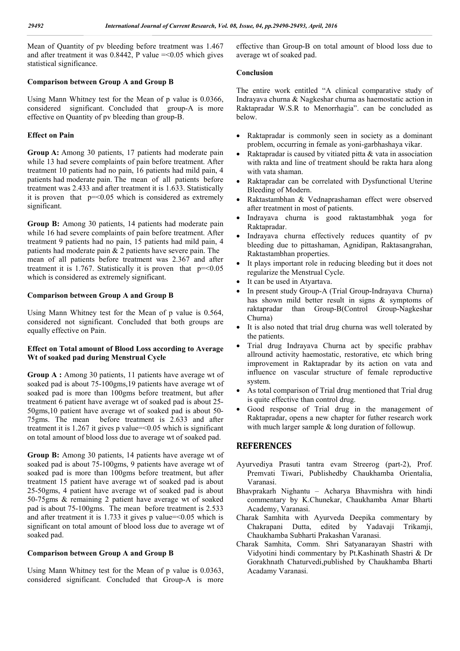Mean of Quantity of pv bleeding before treatment was 1.467 and after treatment it was  $0.8442$ , P value  $=<0.05$  which gives statistical significance.

## **Comparison between Group A and Group B**

Using Mann Whitney test for the Mean of p value is 0.0366, considered significant. Concluded that group-A is more effective on Quantity of pv bleeding than group-B.

## **Effect on Pain**

**Group A:** Among 30 patients, 17 patients had moderate pain while 13 had severe complaints of pain before treatment. After treatment 10 patients had no pain, 16 patients had mild pain, 4 patients had moderate pain. The mean of all patients before treatment was 2.433 and after treatment it is 1.633. Statistically it is proven that  $p = 0.05$  which is considered as extremely significant.

**Group B:** Among 30 patients, 14 patients had moderate pain while 16 had severe complaints of pain before treatment. After treatment 9 patients had no pain, 15 patients had mild pain, 4 patients had moderate pain & 2 patients have severe pain. The mean of all patients before treatment was 2.367 and after treatment it is 1.767. Statistically it is proven that  $p=<0.05$ which is considered as extremely significant.

## **Comparison between Group A and Group B**

Using Mann Whitney test for the Mean of p value is 0.564, considered not significant. Concluded that both groups are equally effective on Pain.

## **Effect on Total amount of Blood Loss according to Average Wt of soaked pad during Menstrual Cycle**

**Group A :** Among 30 patients, 11 patients have average wt of soaked pad is about 75-100gms,19 patients have average wt of soaked pad is more than 100gms before treatment, but after treatment 6 patient have average wt of soaked pad is about 25- 50gms,10 patient have average wt of soaked pad is about 50- 75gms. The mean before treatment is 2.633 and after treatment it is  $1.267$  it gives p value= $0.05$  which is significant on total amount of blood loss due to average wt of soaked pad.

**Group B:** Among 30 patients, 14 patients have average wt of soaked pad is about 75-100gms, 9 patients have average wt of soaked pad is more than 100gms before treatment, but after treatment 15 patient have average wt of soaked pad is about 25-50gms, 4 patient have average wt of soaked pad is about 50-75gms & remaining 2 patient have average wt of soaked pad is about 75-100gms. The mean before treatment is 2.533 and after treatment it is 1.733 it gives p value= $< 0.05$  which is significant on total amount of blood loss due to average wt of soaked pad.

## **Comparison between Group A and Group B**

Using Mann Whitney test for the Mean of p value is 0.0363, considered significant. Concluded that Group-A is more effective than Group-B on total amount of blood loss due to average wt of soaked pad.

## **Conclusion**

The entire work entitled "A clinical comparative study of Indrayava churna & Nagkeshar churna as haemostatic action in Raktapradar W.S.R to Menorrhagia". can be concluded as below.

- Raktapradar is commonly seen in society as a dominant problem, occurring in female as yoni-garbhashaya vikar.
- Raktapradar is caused by vitiated pitta & vata in association with rakta and line of treatment should be rakta hara along with vata shaman.
- Raktapradar can be correlated with Dysfunctional Uterine Bleeding of Modern.
- Raktastambhan & Vednaprashaman effect were observed after treatment in most of patients.
- Indrayava churna is good raktastambhak yoga for Raktapradar.
- Indrayava churna effectively reduces quantity of pv bleeding due to pittashaman, Agnidipan, Raktasangrahan, Raktastambhan properties.
- It plays important role in reducing bleeding but it does not regularize the Menstrual Cycle.
- It can be used in Atyartava.
- In present study Group-A (Trial Group-Indrayava Churna) has shown mild better result in signs & symptoms of raktapradar than Group-B(Control Group-Nagkeshar Churna)
- It is also noted that trial drug churna was well tolerated by the patients.
- Trial drug Indrayava Churna act by specific prabhav allround activity haemostatic, restorative, etc which bring improvement in Raktapradar by its action on vata and influence on vascular structure of female reproductive system.
- As total comparison of Trial drug mentioned that Trial drug is quite effective than control drug.
- Good response of Trial drug in the management of Raktapradar, opens a new chapter for futher research work with much larger sample & long duration of followup.

## **REFERENCES**

- Ayurvediya Prasuti tantra evam Streerog (part-2), Prof. Premvati Tiwari, Publishedby Chaukhamba Orientalia, Varanasi.
- Bhavprakarh Nighantu Acharya Bhavmishra with hindi commentary by K.Chunekar, Chaukhamba Amar Bharti Academy, Varanasi.
- Charak Samhita with Ayurveda Deepika commentary by Chakrapani Dutta, edited by Yadavaji Trikamji, Chaukhamba Subharti Prakashan Varanasi.
- Charak Samhita, Comm. Shri Satyanarayan Shastri with Vidyotini hindi commentary by Pt.Kashinath Shastri & Dr Gorakhnath Chaturvedi,published by Chaukhamba Bharti Acadamy Varanasi.